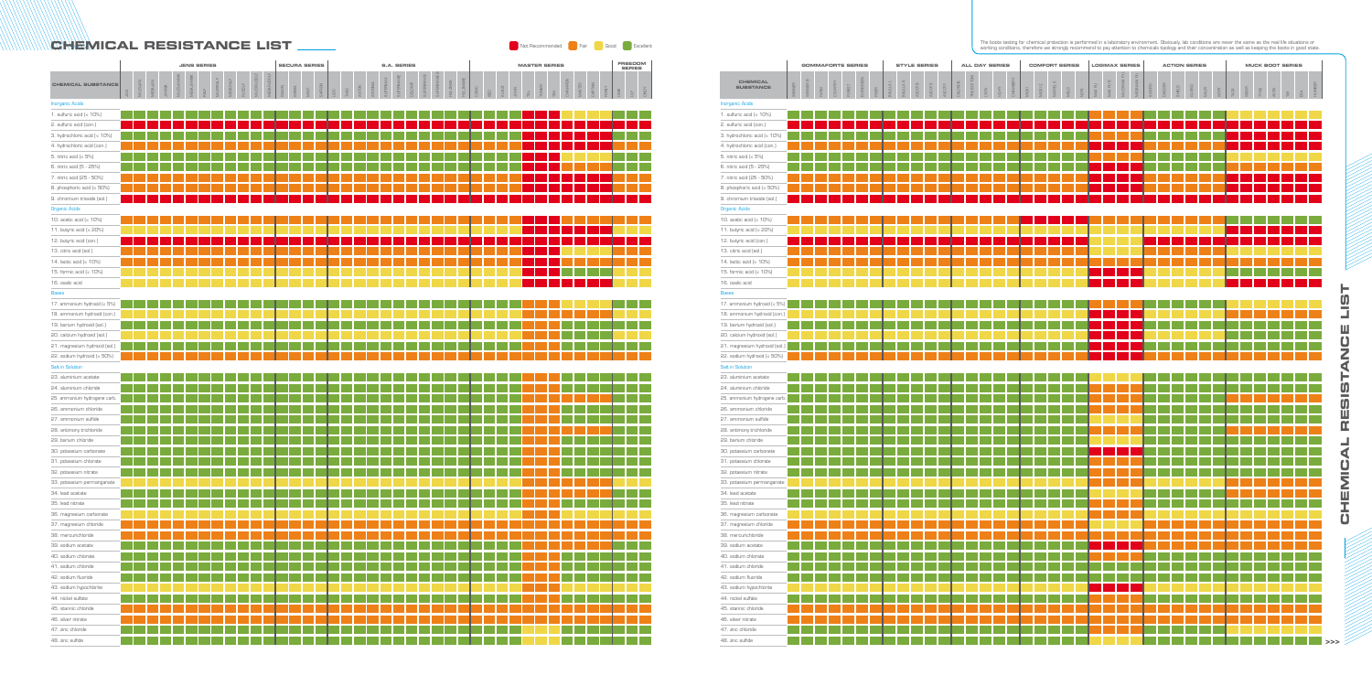|                                     |        | <b>GOMMAFORTE SERIES</b> |      |                |        |           |       |           |                      | <b>STYLE SERIES</b> |         |         |          | <b>ALL DAY SERIES</b> |             |              |                 |       |         | <b>COMFORT SERIES</b> |      |      |        | <b>LOGIMAX SERIES</b> |             |            |       |        |        | <b>ACTION SERIES</b> |      |             |      |      |      |             | <b>MUCK BOOT SERIES</b> |  |    |
|-------------------------------------|--------|--------------------------|------|----------------|--------|-----------|-------|-----------|----------------------|---------------------|---------|---------|----------|-----------------------|-------------|--------------|-----------------|-------|---------|-----------------------|------|------|--------|-----------------------|-------------|------------|-------|--------|--------|----------------------|------|-------------|------|------|------|-------------|-------------------------|--|----|
| <b>CHEMICAL</b><br><b>SUBSTANCE</b> | WINNER | WINNER B                 | FARM | <b>COUNTRY</b> | FOREST | EVERGREEN | RIVER | BALILLA L | BALILLA <sub>S</sub> | ASCOT B             | ASCOT S | ASCOT F | CALOSCIA | TRE BOTTONI           | <b>INDN</b> | <b>VICHY</b> | <b>CHAMBERY</b> | MICKI | MICKI C | MICHEL S              | MELO | NORI | MAX PU | MAX PU B              | MULTIMAX PU | MEGAMAX PU | SWORD | DAGGER | SHIELD | GUARD                | MIKY | <b>MORY</b> | TACK | WEAR | TYNE | <b>AVON</b> |                         |  |    |
| <b>Inorganic Acids</b>              |        |                          |      |                |        |           |       |           |                      |                     |         |         |          |                       |             |              |                 |       |         |                       |      |      |        |                       |             |            |       |        |        |                      |      |             |      |      |      |             |                         |  |    |
| 1. sulfuric acid (< 10%)            |        |                          |      |                |        |           |       |           |                      |                     |         |         |          |                       |             |              |                 |       |         |                       |      |      |        |                       |             |            |       |        |        |                      |      |             |      |      |      |             |                         |  |    |
| 2. sulfuric acid (con.)             |        |                          |      |                |        |           |       |           |                      |                     |         |         |          |                       |             |              |                 |       |         |                       |      |      |        |                       |             |            |       |        |        |                      |      |             |      |      |      |             |                         |  |    |
| 3. hydrochloric acid (< 10%)        |        |                          |      |                |        |           |       |           |                      |                     |         |         |          |                       |             |              |                 |       |         |                       |      |      |        |                       |             |            |       |        |        |                      |      |             |      |      |      |             |                         |  |    |
| 4. hydrochloric acid (con.)         |        |                          |      |                |        |           |       |           |                      |                     |         |         |          |                       |             |              |                 |       |         |                       |      |      |        |                       |             |            |       |        |        |                      |      |             |      |      |      |             |                         |  |    |
| 5. nitric acid (< 5%)               |        |                          |      |                |        |           |       |           |                      |                     |         |         |          |                       |             |              |                 |       |         |                       |      |      |        |                       |             |            |       |        |        |                      |      |             |      |      |      |             |                         |  |    |
| 6. nitric acid (5 - 25%)            |        |                          |      |                |        |           |       |           |                      |                     |         |         |          |                       |             |              |                 |       |         |                       |      |      |        |                       |             |            |       |        |        |                      |      |             |      |      |      |             |                         |  |    |
| 7. nitric acid (25 - 50%)           |        |                          |      |                |        |           |       |           |                      |                     |         |         |          |                       |             |              |                 |       |         |                       |      |      |        |                       |             |            |       |        |        |                      |      |             |      |      |      |             |                         |  |    |
| 8. phosphoric acid (< 50%)          |        |                          |      |                |        |           |       |           |                      |                     |         |         |          |                       |             |              |                 |       |         |                       |      |      |        |                       |             |            |       |        |        |                      |      |             |      |      |      |             |                         |  |    |
| 9. chromium trioxide (sol.)         |        |                          |      |                |        |           |       |           |                      |                     |         |         |          |                       |             |              |                 |       |         |                       |      |      |        |                       |             |            |       |        |        |                      |      |             |      |      |      |             |                         |  |    |
| <b>Organic Acids</b>                |        |                          |      |                |        |           |       |           |                      |                     |         |         |          |                       |             |              |                 |       |         |                       |      |      |        |                       |             |            |       |        |        |                      |      |             |      |      |      |             |                         |  |    |
| 10. acetic acid (< 10%)             |        |                          |      |                |        |           |       |           |                      |                     |         |         |          |                       |             |              |                 |       |         |                       |      |      |        |                       |             |            |       |        |        |                      |      |             |      |      |      |             |                         |  |    |
| 11. butyric acid (< 20%)            |        |                          |      |                |        |           |       |           |                      |                     |         |         |          |                       |             |              |                 |       |         |                       |      |      |        |                       |             |            |       |        |        |                      |      |             |      |      |      |             |                         |  |    |
| 12. butyric acid (con.)             |        |                          |      |                |        |           |       |           |                      |                     |         |         |          |                       |             |              |                 |       |         |                       |      |      |        |                       |             |            |       |        |        |                      |      |             |      |      |      |             |                         |  |    |
| 13. citric acid (sol.)              |        |                          |      |                |        |           |       |           |                      |                     |         |         |          |                       |             |              |                 |       |         |                       |      |      |        |                       |             |            |       |        |        |                      |      |             |      |      |      |             |                         |  |    |
| 14. lactic acid (< 10%)             |        |                          |      |                |        |           |       |           |                      |                     |         |         |          |                       |             |              |                 |       |         |                       |      |      |        |                       |             |            |       |        |        |                      |      |             |      |      |      |             |                         |  |    |
| 15. formic acid (< 10%)             |        |                          |      |                |        |           |       |           |                      |                     |         |         |          |                       |             |              |                 |       |         |                       |      |      |        |                       |             |            |       |        |        |                      |      |             |      |      |      |             |                         |  |    |
| 16. oxalic acid                     |        |                          |      |                |        |           |       |           |                      |                     |         |         |          |                       |             |              |                 |       |         |                       |      |      |        |                       |             |            |       |        |        |                      |      |             |      |      |      |             |                         |  |    |
| <b>Bases</b>                        |        |                          |      |                |        |           |       |           |                      |                     |         |         |          |                       |             |              |                 |       |         |                       |      |      |        |                       |             |            |       |        |        |                      |      |             |      |      |      |             |                         |  |    |
| 17. ammonium hydroxid (< 5%)        |        |                          |      |                |        |           |       |           |                      |                     |         |         |          |                       |             |              |                 |       |         |                       |      |      |        |                       |             |            |       |        |        |                      |      |             |      |      |      |             |                         |  |    |
| 18. ammonium hydroxid (con.)        |        |                          |      |                |        |           |       |           |                      |                     |         |         |          |                       |             |              |                 |       |         |                       |      |      |        |                       |             |            |       |        |        |                      |      |             |      |      |      |             |                         |  |    |
| 19. barium hydroxid (sol.)          |        |                          |      |                |        |           |       |           |                      |                     |         |         |          |                       |             |              |                 |       |         |                       |      |      |        |                       |             |            |       |        |        |                      |      |             |      |      |      |             |                         |  |    |
| 20. calcium hydroxid (sol.)         |        |                          |      |                |        |           |       |           |                      |                     |         |         |          |                       |             |              |                 |       |         |                       |      |      |        |                       |             |            |       |        |        |                      |      |             |      |      |      |             |                         |  |    |
| 21. magnesium hydroxid (sol.)       |        |                          |      |                |        |           |       |           |                      |                     |         |         |          |                       |             |              |                 |       |         |                       |      |      |        |                       |             |            |       |        |        |                      |      |             |      |      |      |             |                         |  |    |
| 22. sodium hydroxid (< 50%)         |        |                          |      |                |        |           |       |           |                      |                     |         |         |          |                       |             |              |                 |       |         |                       |      |      |        |                       |             |            |       |        |        |                      |      |             |      |      |      |             |                         |  |    |
| <b>Salt in Solution</b>             |        |                          |      |                |        |           |       |           |                      |                     |         |         |          |                       |             |              |                 |       |         |                       |      |      |        |                       |             |            |       |        |        |                      |      |             |      |      |      |             |                         |  |    |
| 23. aluminium acetate               |        |                          |      |                |        |           |       |           |                      |                     |         |         |          |                       |             |              |                 |       |         |                       |      |      |        |                       |             |            |       |        |        |                      |      |             |      |      |      |             |                         |  |    |
| 24. aluminium chloride              |        |                          |      |                |        |           |       |           |                      |                     |         |         |          |                       |             |              |                 |       |         |                       |      |      |        |                       |             |            |       |        |        |                      |      |             |      |      |      |             |                         |  |    |
| 25. ammonium hydrogene carb.        |        |                          |      |                |        |           |       |           |                      |                     |         |         |          |                       |             |              |                 |       |         |                       |      |      |        |                       |             |            |       |        |        |                      |      |             |      |      |      |             |                         |  |    |
| 26. ammonium chloride               |        |                          |      |                |        |           |       |           |                      |                     |         |         |          |                       |             |              |                 |       |         |                       |      |      |        |                       |             |            |       |        |        |                      |      |             |      |      |      |             |                         |  |    |
| 27. ammonium sulfide                |        |                          |      |                |        |           |       |           |                      |                     |         |         |          |                       |             |              |                 |       |         |                       |      |      |        |                       |             |            |       |        |        |                      |      |             |      |      |      |             |                         |  |    |
| 28. antimony trichloride            |        |                          |      |                |        |           |       |           |                      |                     |         |         |          |                       |             |              |                 |       |         |                       |      |      |        |                       |             |            |       |        |        |                      |      |             |      |      |      |             |                         |  |    |
| 29. barium chloride                 |        |                          |      |                |        |           |       |           |                      |                     |         |         |          |                       |             |              |                 |       |         |                       |      |      |        |                       |             |            |       |        |        |                      |      |             |      |      |      |             |                         |  |    |
| 30. potassium carbonate             |        |                          |      |                |        |           |       |           |                      |                     |         |         |          |                       |             |              |                 |       |         |                       |      |      |        |                       |             |            |       |        |        |                      |      |             |      |      |      |             |                         |  |    |
| 31. potassium chlorate              |        |                          |      |                |        |           |       |           |                      |                     |         |         |          |                       |             |              |                 |       |         |                       |      |      |        |                       |             |            |       |        |        |                      |      |             |      |      |      |             |                         |  |    |
| 32. potassium nitrate               |        |                          |      |                |        |           |       |           |                      |                     |         |         |          |                       |             |              |                 |       |         |                       |      |      |        |                       |             |            |       |        |        |                      |      |             |      |      |      |             |                         |  |    |
| 33. potassium permanganate          |        |                          |      |                |        |           |       |           |                      |                     |         |         |          |                       |             |              |                 |       |         |                       |      |      |        |                       |             |            |       |        |        |                      |      |             |      |      |      |             |                         |  |    |
| 34. lead acetate                    |        |                          |      |                |        |           |       |           |                      |                     |         |         |          |                       |             |              |                 |       |         |                       |      |      |        |                       |             |            |       |        |        |                      |      |             |      |      |      |             |                         |  |    |
| 35. lead nitrate                    |        |                          |      |                |        |           |       |           |                      |                     |         |         |          |                       |             |              |                 |       |         |                       |      |      |        |                       |             |            |       |        |        |                      |      |             |      |      |      |             |                         |  |    |
| 36. magnesium carbonate             |        |                          |      |                |        |           |       |           |                      |                     |         |         |          |                       |             |              |                 |       |         |                       |      |      |        |                       |             |            |       |        |        |                      |      |             |      |      |      |             |                         |  |    |
| 37. magnesium chloride              |        |                          |      |                |        |           |       |           |                      |                     |         |         |          |                       |             |              |                 |       |         |                       |      |      |        |                       |             |            |       |        |        |                      |      |             |      |      |      |             |                         |  |    |
| 38. mercurichloride                 |        |                          |      |                |        |           |       |           |                      |                     |         |         |          |                       |             |              |                 |       |         |                       |      |      |        |                       |             |            |       |        |        |                      |      |             |      |      |      |             |                         |  |    |
| 39. sodium acetate                  |        |                          |      |                |        |           |       |           |                      |                     |         |         |          |                       |             |              |                 |       |         |                       |      |      |        |                       |             |            |       |        |        |                      |      |             |      |      |      |             |                         |  |    |
| 40. sodium chlorate                 |        |                          |      |                |        |           |       |           |                      |                     |         |         |          |                       |             |              |                 |       |         |                       |      |      |        |                       |             |            |       |        |        |                      |      |             |      |      |      |             |                         |  |    |
| 41. sodium chloride                 |        |                          |      |                |        |           |       |           |                      |                     |         |         |          |                       |             |              |                 |       |         |                       |      |      |        |                       |             |            |       |        |        |                      |      |             |      |      |      |             |                         |  |    |
| 42. sodium fluoride                 |        |                          |      |                |        |           |       |           |                      |                     |         |         |          |                       |             |              |                 |       |         |                       |      |      |        |                       |             |            |       |        |        |                      |      |             |      |      |      |             |                         |  |    |
| 43. sodium hypochlorite             |        |                          |      |                |        |           |       |           |                      |                     |         |         |          |                       |             |              |                 |       |         |                       |      |      |        |                       |             |            |       |        |        |                      |      |             |      |      |      |             |                         |  |    |
| 44. nickel sulfate                  |        |                          |      |                |        |           |       |           |                      |                     |         |         |          |                       |             |              |                 |       |         |                       |      |      |        |                       |             |            |       |        |        |                      |      |             |      |      |      |             |                         |  |    |
| 45. stannic chloride                |        |                          |      |                |        |           |       |           |                      |                     |         |         |          |                       |             |              |                 |       |         |                       |      |      |        |                       |             |            |       |        |        |                      |      |             |      |      |      |             |                         |  |    |
| 46. silver nitrate                  |        |                          |      |                |        |           |       |           |                      |                     |         |         |          |                       |             |              |                 |       |         |                       |      |      |        |                       |             |            |       |        |        |                      |      |             |      |      |      |             |                         |  |    |
| 47. zinc chloride                   |        |                          |      |                |        |           |       |           |                      |                     |         |         |          |                       |             |              |                 |       |         |                       |      |      |        |                       |             |            |       |        |        |                      |      |             |      |      |      |             |                         |  |    |
| 48. zinc sulfide                    |        |                          |      |                |        |           |       |           |                      |                     |         |         |          |                       |             |              |                 |       |         |                       |      |      |        |                       |             |            |       |        |        |                      |      |             |      |      |      |             |                         |  | >> |

The boots testing for chemical protection is performed in a laboratory environment. Obviously, lab conditions are never the same as the real life situations or **CHEMICAL RESISTANCE LIST** working conditions, therefore we strongly recommend to pay attention to chemicals tipology and their concentration as well as keeping the boots in good state.

|                                                              | <b>JENS SERIES</b> |          |         |        |             |            |             |           |          |               |                    | <b>SECURA SERIES</b> |       |      |                |       |       | <b>S.A. SERIES</b> |                 |                   |         |            |            |         |           | <b>MASTER SERIES</b> |  |  |        |          |               | FREEDOM<br><b>SERIES</b> |       |                                                      |             |
|--------------------------------------------------------------|--------------------|----------|---------|--------|-------------|------------|-------------|-----------|----------|---------------|--------------------|----------------------|-------|------|----------------|-------|-------|--------------------|-----------------|-------------------|---------|------------|------------|---------|-----------|----------------------|--|--|--------|----------|---------------|--------------------------|-------|------------------------------------------------------|-------------|
| <b>CHEMICAL SUBSTANCE</b>                                    | $\leq$             | MULTIJAN | MEGAJAN | JANNIK | MULTIJANNIK | MEGAJANNIK | <b>RALF</b> | MULTIRALF | MEGARALF | <b>RUDDLF</b> | <b>MULTIRUDOLF</b> | VEGARUDOLF           | GOLON | MINT | $\overline{S}$ | $\Xi$ | MULIN | ANTONIA            | <b>SUPERMAX</b> | <b>SUPERMAXIE</b> | DOLOMIT | SUPERMAX B | SUPERMAXIE | HOLZMAX | HOLZMAXIE | DNND<br>œ            |  |  | $\geq$ | CHAMPION | <b>MASTER</b> | CAPTAIN                  | FORST | $\stackrel{\scriptscriptstyle{\mathsf{L}}}{\exists}$ | <b>CIND</b> |
| <b>Inorganic Acids</b>                                       |                    |          |         |        |             |            |             |           |          |               |                    |                      |       |      |                |       |       |                    |                 |                   |         |            |            |         |           |                      |  |  |        |          |               |                          |       |                                                      |             |
| 1. sulfuric acid (< 10%)                                     |                    |          |         |        |             |            |             |           |          |               |                    |                      |       |      |                |       |       |                    |                 |                   |         |            |            |         |           |                      |  |  |        |          |               |                          |       |                                                      |             |
| 2. sulfuric acid (con.)                                      |                    |          |         |        |             |            |             |           |          |               |                    |                      |       |      |                |       |       |                    |                 |                   |         |            |            |         |           |                      |  |  |        |          |               |                          |       |                                                      |             |
| 3. hydrochloric acid (< 10%)                                 |                    |          |         |        |             |            |             |           |          |               |                    |                      |       |      |                |       |       |                    |                 |                   |         |            |            |         |           |                      |  |  |        |          |               |                          |       |                                                      |             |
| 4. hydrochloric acid (con.)                                  |                    |          |         |        |             |            |             |           |          |               |                    |                      |       |      |                |       |       |                    |                 |                   |         |            |            |         |           |                      |  |  |        |          |               |                          |       |                                                      |             |
| 5. nitric acid (< 5%)                                        |                    |          |         |        |             |            |             |           |          |               |                    |                      |       |      |                |       |       |                    |                 |                   |         |            |            |         |           |                      |  |  |        |          |               |                          |       |                                                      |             |
| 6. nitric acid (5 - 25%)                                     |                    |          |         |        |             |            |             |           |          |               |                    |                      |       |      |                |       |       |                    |                 |                   |         |            |            |         |           |                      |  |  |        |          |               |                          |       |                                                      |             |
| 7. nitric acid (25 - 50%)                                    |                    |          |         |        |             |            |             |           |          |               |                    |                      |       |      |                |       |       |                    |                 |                   |         |            |            |         |           |                      |  |  |        |          |               |                          |       |                                                      |             |
| 8. phosphoric acid (< 50%)                                   |                    |          |         |        |             |            |             |           |          |               |                    |                      |       |      |                |       |       |                    |                 |                   |         |            |            |         |           |                      |  |  |        |          |               |                          |       |                                                      |             |
| 9. chromium trioxide (sol.)                                  |                    |          |         |        |             |            |             |           |          |               |                    |                      |       |      |                |       |       |                    |                 |                   |         |            |            |         |           |                      |  |  |        |          |               |                          |       |                                                      |             |
| <b>Organic Acids</b>                                         |                    |          |         |        |             |            |             |           |          |               |                    |                      |       |      |                |       |       |                    |                 |                   |         |            |            |         |           |                      |  |  |        |          |               |                          |       |                                                      |             |
| 10. acetic acid (< 10%)                                      |                    |          |         |        |             |            |             |           |          |               |                    |                      |       |      |                |       |       |                    |                 |                   |         |            |            |         |           |                      |  |  |        |          |               |                          |       |                                                      |             |
| 11. butyric acid (< 20%)                                     |                    |          |         |        |             |            |             |           |          |               |                    |                      |       |      |                |       |       |                    |                 |                   |         |            |            |         |           |                      |  |  |        |          |               |                          |       |                                                      |             |
| 12. butyric acid (con.)                                      |                    |          |         |        |             |            |             |           |          |               |                    |                      |       |      |                |       |       |                    |                 |                   |         |            |            |         |           |                      |  |  |        |          |               |                          |       |                                                      |             |
| 13. citric acid (sol.)                                       |                    |          |         |        |             |            |             |           |          |               |                    |                      |       |      |                |       |       |                    |                 |                   |         |            |            |         |           |                      |  |  |        |          |               |                          |       |                                                      |             |
| 14. lactic acid (< 10%)                                      |                    |          |         |        |             |            |             |           |          |               |                    |                      |       |      |                |       |       |                    |                 |                   |         |            |            |         |           |                      |  |  |        |          |               |                          |       |                                                      |             |
| 15. formic acid (< 10%)                                      |                    |          |         |        |             |            |             |           |          |               |                    |                      |       |      |                |       |       |                    |                 |                   |         |            |            |         |           |                      |  |  |        |          |               |                          |       |                                                      |             |
| 16. oxalic acid                                              |                    |          |         |        |             |            |             |           |          |               |                    |                      |       |      |                |       |       |                    |                 |                   |         |            |            |         |           |                      |  |  |        |          |               |                          |       |                                                      |             |
| <b>Bases</b>                                                 |                    |          |         |        |             |            |             |           |          |               |                    |                      |       |      |                |       |       |                    |                 |                   |         |            |            |         |           |                      |  |  |        |          |               |                          |       |                                                      |             |
| 17. ammonium hydroxid (< 5%)                                 |                    |          |         |        |             |            |             |           |          |               |                    |                      |       |      |                |       |       |                    |                 |                   |         |            |            |         |           |                      |  |  |        |          |               |                          |       |                                                      |             |
| 18. ammonium hydroxid (con.)                                 |                    |          |         |        |             |            |             |           |          |               |                    |                      |       |      |                |       |       |                    |                 |                   |         |            |            |         |           |                      |  |  |        |          |               |                          |       |                                                      |             |
| 19. barium hydroxid (sol.)                                   |                    |          |         |        |             |            |             |           |          |               |                    |                      |       |      |                |       |       |                    |                 |                   |         |            |            |         |           |                      |  |  |        |          |               |                          |       |                                                      |             |
| 20. calcium hydroxid (sol.)<br>21. magnesium hydroxid (sol.) |                    |          |         |        |             |            |             |           |          |               |                    |                      |       |      |                |       |       |                    |                 |                   |         |            |            |         |           |                      |  |  |        |          |               |                          |       |                                                      |             |
| 22. sodium hydroxid (< 50%)                                  |                    |          |         |        |             |            |             |           |          |               |                    |                      |       |      |                |       |       |                    |                 |                   |         |            |            |         |           |                      |  |  |        |          |               |                          |       |                                                      |             |
| Salt in Solution                                             |                    |          |         |        |             |            |             |           |          |               |                    |                      |       |      |                |       |       |                    |                 |                   |         |            |            |         |           |                      |  |  |        |          |               |                          |       |                                                      |             |
| 23. aluminium acetate                                        |                    |          |         |        |             |            |             |           |          |               |                    |                      |       |      |                |       |       |                    |                 |                   |         |            |            |         |           |                      |  |  |        |          |               |                          |       |                                                      |             |
| 24. aluminium chloride                                       |                    |          |         |        |             |            |             |           |          |               |                    |                      |       |      |                |       |       |                    |                 |                   |         |            |            |         |           |                      |  |  |        |          |               |                          |       |                                                      |             |
| 25. ammonium hydrogene carb.                                 |                    |          |         |        |             |            |             |           |          |               |                    |                      |       |      |                |       |       |                    |                 |                   |         |            |            |         |           |                      |  |  |        |          |               |                          |       |                                                      |             |
| 26. ammonium chloride                                        |                    |          |         |        |             |            |             |           |          |               |                    |                      |       |      |                |       |       |                    |                 |                   |         |            |            |         |           |                      |  |  |        |          |               |                          |       |                                                      |             |
| 27. ammonium sulfide                                         |                    |          |         |        |             |            |             |           |          |               |                    |                      |       |      |                |       |       |                    |                 |                   |         |            |            |         |           |                      |  |  |        |          |               |                          |       |                                                      |             |
| 28. antimony trichloride                                     |                    |          |         |        |             |            |             |           |          |               |                    |                      |       |      |                |       |       |                    |                 |                   |         |            |            |         |           |                      |  |  |        |          |               |                          |       |                                                      |             |
| 29. barium chloride                                          |                    |          |         |        |             |            |             |           |          |               |                    |                      |       |      |                |       |       |                    |                 |                   |         |            |            |         |           |                      |  |  |        |          |               |                          |       |                                                      |             |
| 30. potassium carbonate                                      |                    |          |         |        |             |            |             |           |          |               |                    |                      |       |      |                |       |       |                    |                 |                   |         |            |            |         |           |                      |  |  |        |          |               |                          |       |                                                      |             |
| 31. potassium chlorate                                       |                    |          |         |        |             |            |             |           |          |               |                    |                      |       |      |                |       |       |                    |                 |                   |         |            |            |         |           |                      |  |  |        |          |               |                          |       |                                                      |             |
| 32. potassium nitrate                                        |                    |          |         |        |             |            |             |           |          |               |                    |                      |       |      |                |       |       |                    |                 |                   |         |            |            |         |           |                      |  |  |        |          |               |                          |       |                                                      |             |
| 33. potassium permanganate                                   |                    |          |         |        |             |            |             |           |          |               |                    |                      |       |      |                |       |       |                    |                 |                   |         |            |            |         |           |                      |  |  |        |          |               |                          |       |                                                      |             |
| 34. lead acetate                                             |                    |          |         |        |             |            |             |           |          |               |                    |                      |       |      |                |       |       |                    |                 |                   |         |            |            |         |           |                      |  |  |        |          |               |                          |       |                                                      |             |
| 35. lead nitrate                                             |                    |          |         |        |             |            |             |           |          |               |                    |                      |       |      |                |       |       |                    |                 |                   |         |            |            |         |           |                      |  |  |        |          |               |                          |       |                                                      |             |
| 36. magnesium carbonate                                      |                    |          |         |        |             |            |             |           |          |               |                    |                      |       |      |                |       |       |                    |                 |                   |         |            |            |         |           |                      |  |  |        |          |               |                          |       |                                                      |             |
| 37. magnesium chloride                                       |                    |          |         |        |             |            |             |           |          |               |                    |                      |       |      |                |       |       |                    |                 |                   |         |            |            |         |           |                      |  |  |        |          |               |                          |       |                                                      |             |
| 38. mercurichloride                                          |                    |          |         |        |             |            |             |           |          |               |                    |                      |       |      |                |       |       |                    |                 |                   |         |            |            |         |           |                      |  |  |        |          |               |                          |       |                                                      |             |
| 39. sodium acetate                                           |                    |          |         |        |             |            |             |           |          |               |                    |                      |       |      |                |       |       |                    |                 |                   |         |            |            |         |           |                      |  |  |        |          |               |                          |       |                                                      |             |
| 40. sodium chlorate                                          |                    |          |         |        |             |            |             |           |          |               |                    |                      |       |      |                |       |       |                    |                 |                   |         |            |            |         |           |                      |  |  |        |          |               |                          |       |                                                      |             |
| 41. sodium chloride                                          |                    |          |         |        |             |            |             |           |          |               |                    |                      |       |      |                |       |       |                    |                 |                   |         |            |            |         |           |                      |  |  |        |          |               |                          |       |                                                      |             |
| 42. sodium fluoride                                          |                    |          |         |        |             |            |             |           |          |               |                    |                      |       |      |                |       |       |                    |                 |                   |         |            |            |         |           |                      |  |  |        |          |               |                          |       |                                                      |             |
| 43. sodium hypochlorite                                      |                    |          |         |        |             |            |             |           |          |               |                    |                      |       |      |                |       |       |                    |                 |                   |         |            |            |         |           |                      |  |  |        |          |               |                          |       |                                                      |             |
| 44. nickel sulfate                                           |                    |          |         |        |             |            |             |           |          |               |                    |                      |       |      |                |       |       |                    |                 |                   |         |            |            |         |           |                      |  |  |        |          |               |                          |       |                                                      |             |
| 45. stannic chloride                                         |                    |          |         |        |             |            |             |           |          |               |                    |                      |       |      |                |       |       |                    |                 |                   |         |            |            |         |           |                      |  |  |        |          |               |                          |       |                                                      |             |
| 46. silver nitrate                                           |                    |          |         |        |             |            |             |           |          |               |                    |                      |       |      |                |       |       |                    |                 |                   |         |            |            |         |           |                      |  |  |        |          |               |                          |       |                                                      |             |
| 47. zinc chloride                                            |                    |          |         |        |             |            |             |           |          |               |                    |                      |       |      |                |       |       |                    |                 |                   |         |            |            |         |           |                      |  |  |        |          |               |                          |       |                                                      |             |
| 48. zinc sulfide                                             |                    |          |         |        |             |            |             |           |          |               |                    |                      |       |      |                |       |       |                    |                 |                   |         |            |            |         |           |                      |  |  |        |          |               |                          |       |                                                      |             |

**Commended** Fair Good Excellent